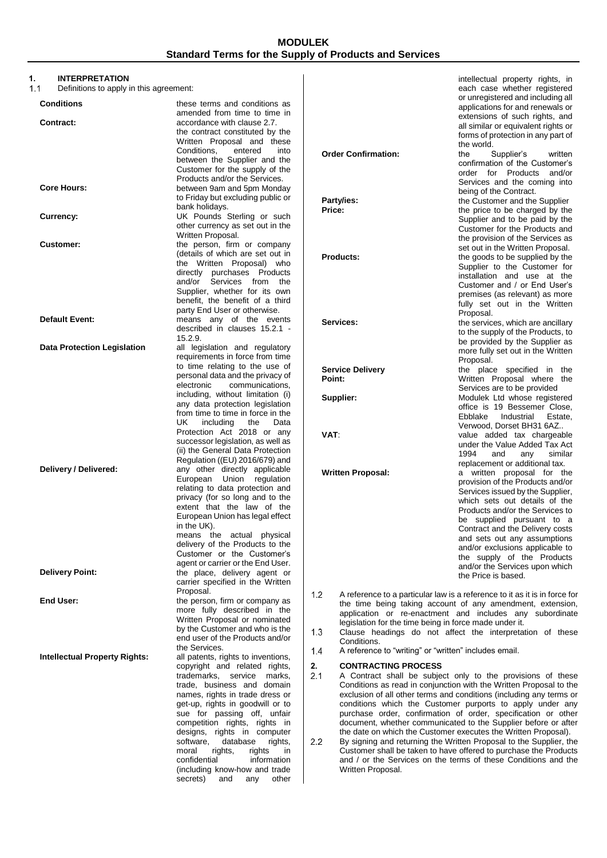# **1. INTERPRETATION**

Definitions to apply in this agreement:

| Conditions                           | these terms and conditions as                                                                  |
|--------------------------------------|------------------------------------------------------------------------------------------------|
| Contract:                            | amended from time to time in<br>accordance with clause 2.7.<br>the contract constituted by the |
|                                      | Written Proposal and these<br>Conditions,<br>entered<br>into                                   |
|                                      | between the Supplier and the<br>Customer for the supply of the                                 |
| <b>Core Hours:</b>                   | Products and/or the Services.<br>between 9am and 5pm Monday                                    |
|                                      | to Friday but excluding public or<br>bank holidays.                                            |
| Currency:                            | UK Pounds Sterling or such<br>other currency as set out in the                                 |
| <b>Customer:</b>                     | Written Proposal.<br>the person, firm or company                                               |
|                                      | (details of which are set out in                                                               |
|                                      | the Written Proposal) who<br>directly purchases<br>Products                                    |
|                                      | and/or<br>Services from<br>the<br>Supplier, whether for its own                                |
|                                      | benefit, the benefit of a third                                                                |
| Default Event:                       | party End User or otherwise.<br>means any of the events                                        |
|                                      | described in clauses 15.2.1 -<br>15.2.9.                                                       |
| <b>Data Protection Legislation</b>   | all legislation and regulatory<br>requirements in force from time                              |
|                                      | to time relating to the use of                                                                 |
|                                      | personal data and the privacy of<br>electronic<br>communications,                              |
|                                      | including, without limitation (i)                                                              |
|                                      | any data protection legislation<br>from time to time in force in the                           |
|                                      | UK<br>including<br>the<br>Data                                                                 |
|                                      | Protection Act 2018 or any<br>successor legislation, as well as                                |
|                                      | (ii) the General Data Protection                                                               |
| Delivery / Delivered:                | Regulation ((EU) 2016/679) and<br>any other directly applicable                                |
|                                      | regulation<br>European Union                                                                   |
|                                      | relating to data protection and<br>privacy (for so long and to the                             |
|                                      | extent that the law of the                                                                     |
|                                      | European Union has legal effect<br>in the UK).                                                 |
|                                      | the<br>physical<br>means<br>actual                                                             |
|                                      | delivery of the Products to the<br>Customer or the Customer's                                  |
|                                      | agent or carrier or the End User.                                                              |
| <b>Delivery Point:</b>               | the place, delivery agent or<br>carrier specified in the Written                               |
|                                      | Proposal.                                                                                      |
| <b>End User:</b>                     | the person, firm or company as<br>more fully described in the                                  |
|                                      | Written Proposal or nominated                                                                  |
|                                      | by the Customer and who is the<br>end user of the Products and/or                              |
|                                      | the Services.                                                                                  |
| <b>Intellectual Property Rights:</b> | all patents, rights to inventions,<br>copyright and related rights,                            |
|                                      | trademarks,<br>service<br>marks,                                                               |
|                                      | trade, business and domain<br>names, rights in trade dress or                                  |
|                                      | get-up, rights in goodwill or to                                                               |
|                                      | sue for passing off,<br>unfair<br>competition<br>rights,<br>rights<br>in                       |
|                                      | designs,<br>rights<br>in<br>computer                                                           |
|                                      | software,<br>database<br>rights,<br>moral<br>rights,<br>rights<br>in                           |
|                                      | confidential<br>information                                                                    |
|                                      | (including know-how and trade<br>secrets)<br>other<br>and<br>any                               |
|                                      |                                                                                                |

|                            | each case whether registered<br>or unregistered and including all<br>applications for and renewals or<br>extensions of such rights, and<br>all similar or equivalent rights or                                                                                                                                                                                                                                                                    |
|----------------------------|---------------------------------------------------------------------------------------------------------------------------------------------------------------------------------------------------------------------------------------------------------------------------------------------------------------------------------------------------------------------------------------------------------------------------------------------------|
|                            | forms of protection in any part of<br>the world.                                                                                                                                                                                                                                                                                                                                                                                                  |
| <b>Order Confirmation:</b> | the<br>written<br>Supplier's<br>confirmation of the Customer's<br>order for Products<br>and/or<br>Services and the coming into                                                                                                                                                                                                                                                                                                                    |
| Party/ies:<br>Price:       | being of the Contract.<br>the Customer and the Supplier<br>the price to be charged by the<br>Supplier and to be paid by the<br>Customer for the Products and<br>the provision of the Services as                                                                                                                                                                                                                                                  |
| Products:                  | set out in the Written Proposal.<br>the goods to be supplied by the<br>Supplier to the Customer for<br>installation and use at the<br>Customer and / or End User's<br>premises (as relevant) as more                                                                                                                                                                                                                                              |
| Services:                  | fully set out in the Written<br>Proposal.<br>the services, which are ancillary<br>to the supply of the Products, to<br>be provided by the Supplier as<br>more fully set out in the Written                                                                                                                                                                                                                                                        |
| <b>Service Delivery</b>    | Proposal.<br>the place specified<br>in<br>the                                                                                                                                                                                                                                                                                                                                                                                                     |
| Point:                     | Written Proposal where<br>the<br>Services are to be provided                                                                                                                                                                                                                                                                                                                                                                                      |
| Supplier:                  | Modulek Ltd whose registered<br>office is 19 Bessemer Close,<br>Ebblake Industrial Estate,                                                                                                                                                                                                                                                                                                                                                        |
| VAT:                       | Verwood, Dorset BH31 6AZ<br>value added tax chargeable<br>under the Value Added Tax Act<br>1994<br>similar<br>and<br>any                                                                                                                                                                                                                                                                                                                          |
| <b>Written Proposal:</b>   | replacement or additional tax.<br>written proposal for<br>the<br>a<br>provision of the Products and/or<br>Services issued by the Supplier,<br>which sets out details of the<br>Products and/or the Services to<br>supplied pursuant to<br>a<br>be<br>Contract and the Delivery costs<br>and sets out any assumptions<br>and/or exclusions applicable to<br>supply of the Products<br>the<br>and/or the Services upon which<br>the Price is based. |

intellectual property rights, in

 $1.2$ A reference to a particular law is a reference to it as it is in force for the time being taking account of any amendment, extension, application or re-enactment and includes any subordinate legislation for the time being in force made under it.

 $1.3$ Clause headings do not affect the interpretation of these Conditions.

 $1.4\,$ A reference to "writing" or "written" includes email.

## **2. CONTRACTING PROCESS**

- A Contract shall be subject only to the provisions of these Conditions as read in conjunction with the Written Proposal to the exclusion of all other terms and conditions (including any terms or conditions which the Customer purports to apply under any purchase order, confirmation of order, specification or other document, whether communicated to the Supplier before or after the date on which the Customer executes the Written Proposal).
- $2.2$ By signing and returning the Written Proposal to the Supplier, the Customer shall be taken to have offered to purchase the Products and / or the Services on the terms of these Conditions and the Written Proposal.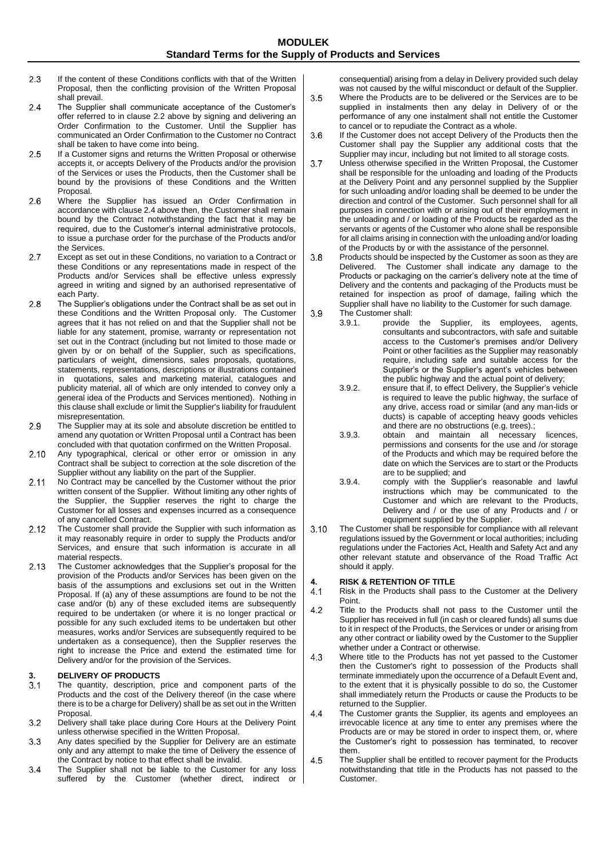- $2.3$ If the content of these Conditions conflicts with that of the Written Proposal, then the conflicting provision of the Written Proposal shall prevail.
- $2.4$ The Supplier shall communicate acceptance of the Customer's offer referred to in clause 2.2 above by signing and delivering an Order Confirmation to the Customer. Until the Supplier has communicated an Order Confirmation to the Customer no Contract shall be taken to have come into being.
- 2.5 If a Customer signs and returns the Written Proposal or otherwise accepts it, or accepts Delivery of the Products and/or the provision of the Services or uses the Products, then the Customer shall be bound by the provisions of these Conditions and the Written Proposal.
- 2.6 Where the Supplier has issued an Order Confirmation in accordance with clause 2.4 above then, the Customer shall remain bound by the Contract notwithstanding the fact that it may be required, due to the Customer's internal administrative protocols, to issue a purchase order for the purchase of the Products and/or the Services.
- $2.7$ Except as set out in these Conditions, no variation to a Contract or these Conditions or any representations made in respect of the Products and/or Services shall be effective unless expressly agreed in writing and signed by an authorised representative of each Party.
- The Supplier's obligations under the Contract shall be as set out in 2.8 these Conditions and the Written Proposal only. The Customer agrees that it has not relied on and that the Supplier shall not be liable for any statement, promise, warranty or representation not set out in the Contract (including but not limited to those made or given by or on behalf of the Supplier, such as specifications, particulars of weight, dimensions, sales proposals, quotations, statements, representations, descriptions or illustrations contained in quotations, sales and marketing material, catalogues and publicity material, all of which are only intended to convey only a general idea of the Products and Services mentioned). Nothing in this clause shall exclude or limit the Supplier's liability for fraudulent misrepresentation.
- 2.9 The Supplier may at its sole and absolute discretion be entitled to amend any quotation or Written Proposal until a Contract has been concluded with that quotation confirmed on the Written Proposal.
- $2.10$ Any typographical, clerical or other error or omission in any Contract shall be subject to correction at the sole discretion of the Supplier without any liability on the part of the Supplier.
- $2.11$ No Contract may be cancelled by the Customer without the prior written consent of the Supplier. Without limiting any other rights of the Supplier, the Supplier reserves the right to charge the Customer for all losses and expenses incurred as a consequence of any cancelled Contract.
- $2.12$ The Customer shall provide the Supplier with such information as it may reasonably require in order to supply the Products and/or Services, and ensure that such information is accurate in all material respects.
- $2.13$ The Customer acknowledges that the Supplier's proposal for the provision of the Products and/or Services has been given on the basis of the assumptions and exclusions set out in the Written Proposal. If (a) any of these assumptions are found to be not the case and/or (b) any of these excluded items are subsequently required to be undertaken (or where it is no longer practical or possible for any such excluded items to be undertaken but other measures, works and/or Services are subsequently required to be undertaken as a consequence), then the Supplier reserves the right to increase the Price and extend the estimated time for Delivery and/or for the provision of the Services.

# **3. DELIVERY OF PRODUCTS**<br>**3.1** The quantity, description,

- The quantity, description, price and component parts of the Products and the cost of the Delivery thereof (in the case where there is to be a charge for Delivery) shall be as set out in the Written Proposal
- $3.2$ Delivery shall take place during Core Hours at the Delivery Point unless otherwise specified in the Written Proposal.
- $3.3$ Any dates specified by the Supplier for Delivery are an estimate only and any attempt to make the time of Delivery the essence of the Contract by notice to that effect shall be invalid.
- $3.4$ The Supplier shall not be liable to the Customer for any loss suffered by the Customer (whether direct, indirect or

consequential) arising from a delay in Delivery provided such delay was not caused by the wilful misconduct or default of the Supplier.

- $3.5$ Where the Products are to be delivered or the Services are to be supplied in instalments then any delay in Delivery of or the performance of any one instalment shall not entitle the Customer to cancel or to repudiate the Contract as a whole.
- If the Customer does not accept Delivery of the Products then the 3.6 Customer shall pay the Supplier any additional costs that the Supplier may incur, including but not limited to all storage costs.
- $3.7$ Unless otherwise specified in the Written Proposal, the Customer shall be responsible for the unloading and loading of the Products at the Delivery Point and any personnel supplied by the Supplier for such unloading and/or loading shall be deemed to be under the direction and control of the Customer. Such personnel shall for all purposes in connection with or arising out of their employment in the unloading and / or loading of the Products be regarded as the servants or agents of the Customer who alone shall be responsible for all claims arising in connection with the unloading and/or loading of the Products by or with the assistance of the personnel.
- $3.8$ Products should be inspected by the Customer as soon as they are Delivered. The Customer shall indicate any damage to the Products or packaging on the carrier's delivery note at the time of Delivery and the contents and packaging of the Products must be retained for inspection as proof of damage, failing which the Supplier shall have no liability to the Customer for such damage. 3.9
	- The Customer shall:<br>3.9.1. provide provide the Supplier, its employees, agents, consultants and subcontractors, with safe and suitable access to the Customer's premises and/or Delivery Point or other facilities as the Supplier may reasonably require, including safe and suitable access for the Supplier's or the Supplier's agent's vehicles between the public highway and the actual point of delivery;
	- 3.9.2. ensure that if, to effect Delivery, the Supplier's vehicle is required to leave the public highway, the surface of any drive, access road or similar (and any man-lids or ducts) is capable of accepting heavy goods vehicles and there are no obstructions (e.g. trees).;<br>obtain and maintain all necessary
	- 3.9.3. obtain and maintain all necessary licences, permissions and consents for the use and /or storage of the Products and which may be required before the date on which the Services are to start or the Products are to be supplied; and
	- 3.9.4. comply with the Supplier's reasonable and lawful instructions which may be communicated to the Customer and which are relevant to the Products, Delivery and / or the use of any Products and / or equipment supplied by the Supplier.
- $3.10$ The Customer shall be responsible for compliance with all relevant regulations issued by the Government or local authorities; including regulations under the Factories Act, Health and Safety Act and any other relevant statute and observance of the Road Traffic Act should it apply.

# **4. RISK & RETENTION OF TITLE**

- Risk in the Products shall pass to the Customer at the Delivery Point.
- $4.2$ Title to the Products shall not pass to the Customer until the Supplier has received in full (in cash or cleared funds) all sums due to it in respect of the Products, the Services or under or arising from any other contract or liability owed by the Customer to the Supplier whether under a Contract or otherwise.
- 4.3 Where title to the Products has not yet passed to the Customer then the Customer's right to possession of the Products shall terminate immediately upon the occurrence of a Default Event and, to the extent that it is physically possible to do so, the Customer shall immediately return the Products or cause the Products to be returned to the Supplier.
- The Customer grants the Supplier, its agents and employees an  $4.4$ irrevocable licence at any time to enter any premises where the Products are or may be stored in order to inspect them, or, where the Customer's right to possession has terminated, to recover them.
- 4.5 The Supplier shall be entitled to recover payment for the Products notwithstanding that title in the Products has not passed to the Customer.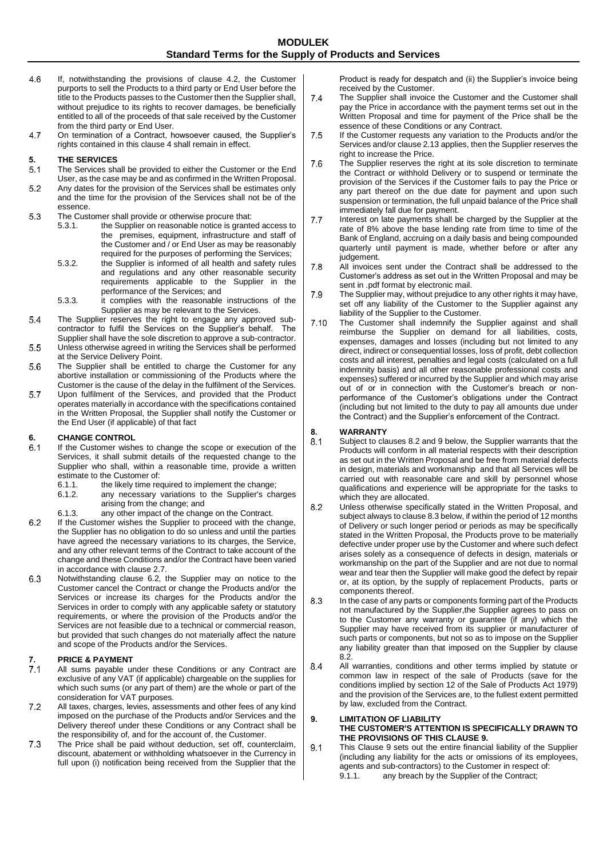- 4.6 If, notwithstanding the provisions of clause 4.2, the Customer purports to sell the Products to a third party or End User before the title to the Products passes to the Customer then the Supplier shall, without prejudice to its rights to recover damages, be beneficially entitled to all of the proceeds of that sale received by the Customer from the third party or End User.
- On termination of a Contract, howsoever caused, the Supplier's 4.7 rights contained in this clause 4 shall remain in effect.

# **5. THE SERVICES**

- The Services shall be provided to either the Customer or the End User, as the case may be and as confirmed in the Written Proposal.
- $5.2$ Any dates for the provision of the Services shall be estimates only and the time for the provision of the Services shall not be of the essence.
- 5.3 The Customer shall provide or otherwise procure that:<br>5.3.1. the Supplier on reasonable notice is granted
	- the Supplier on reasonable notice is granted access to the premises, equipment, infrastructure and staff of the Customer and / or End User as may be reasonably required for the purposes of performing the Services;
	- 5.3.2. the Supplier is informed of all health and safety rules and regulations and any other reasonable security requirements applicable to the Supplier in the performance of the Services; and
	- 5.3.3. it complies with the reasonable instructions of the Supplier as may be relevant to the Services.
- 5.4 The Supplier reserves the right to engage any approved subcontractor to fulfil the Services on the Supplier's behalf. The Supplier shall have the sole discretion to approve a sub-contractor.
- 5.5 Unless otherwise agreed in writing the Services shall be performed at the Service Delivery Point.
- 5.6 The Supplier shall be entitled to charge the Customer for any abortive installation or commissioning of the Products where the Customer is the cause of the delay in the fulfilment of the Services.
- 5.7 Upon fulfilment of the Services, and provided that the Product operates materially in accordance with the specifications contained in the Written Proposal, the Supplier shall notify the Customer or the End User (if applicable) of that fact

## **6. CHANGE CONTROL**

- If the Customer wishes to change the scope or execution of the Services, it shall submit details of the requested change to the Supplier who shall, within a reasonable time, provide a written estimate to the Customer of:<br>6.1.1 the likely time real
	- 6.1.1. the likely time required to implement the change;<br>6.1.2. any necessary variations to the Supplier's cha
	- any necessary variations to the Supplier's charges arising from the change; and
	- 6.1.3. any other impact of the change on the Contract.
- $6.2$ If the Customer wishes the Supplier to proceed with the change, the Supplier has no obligation to do so unless and until the parties have agreed the necessary variations to its charges, the Service, and any other relevant terms of the Contract to take account of the change and these Conditions and/or the Contract have been varied in accordance with clause 2.7.
- $6.3$ Notwithstanding clause 6.2, the Supplier may on notice to the Customer cancel the Contract or change the Products and/or the Services or increase its charges for the Products and/or the Services in order to comply with any applicable safety or statutory requirements, or where the provision of the Products and/or the Services are not feasible due to a technical or commercial reason, but provided that such changes do not materially affect the nature and scope of the Products and/or the Services.

## **7. PRICE & PAYMENT**

- All sums payable under these Conditions or any Contract are exclusive of any VAT (if applicable) chargeable on the supplies for which such sums (or any part of them) are the whole or part of the consideration for VAT purposes.
- $7.2$ All taxes, charges, levies, assessments and other fees of any kind imposed on the purchase of the Products and/or Services and the Delivery thereof under these Conditions or any Contract shall be the responsibility of, and for the account of, the Customer.
- The Price shall be paid without deduction, set off, counterclaim,  $7.3$ discount, abatement or withholding whatsoever in the Currency in full upon (i) notification being received from the Supplier that the

Product is ready for despatch and (ii) the Supplier's invoice being received by the Customer.

- $7.4$ The Supplier shall invoice the Customer and the Customer shall pay the Price in accordance with the payment terms set out in the Written Proposal and time for payment of the Price shall be the essence of these Conditions or any Contract.
- If the Customer requests any variation to the Products and/or the 7.5 Services and/or clause 2.13 applies, then the Supplier reserves the right to increase the Price.
- 7.6 The Supplier reserves the right at its sole discretion to terminate the Contract or withhold Delivery or to suspend or terminate the provision of the Services if the Customer fails to pay the Price or any part thereof on the due date for payment and upon such suspension or termination, the full unpaid balance of the Price shall immediately fall due for payment.
- $7.7$ Interest on late payments shall be charged by the Supplier at the rate of 8% above the base lending rate from time to time of the Bank of England, accruing on a daily basis and being compounded quarterly until payment is made, whether before or after any judgement.
- 7.8 All invoices sent under the Contract shall be addressed to the Customer's address as set out in the Written Proposal and may be sent in .pdf format by electronic mail.
- 7.9 The Supplier may, without prejudice to any other rights it may have, set off any liability of the Customer to the Supplier against any liability of the Supplier to the Customer.
- $7.10$ The Customer shall indemnify the Supplier against and shall reimburse the Supplier on demand for all liabilities, costs, expenses, damages and losses (including but not limited to any direct, indirect or consequential losses, loss of profit, debt collection costs and all interest, penalties and legal costs (calculated on a full indemnity basis) and all other reasonable professional costs and expenses) suffered or incurred by the Supplier and which may arise out of or in connection with the Customer's breach or nonperformance of the Customer's obligations under the Contract (including but not limited to the duty to pay all amounts due under the Contract) and the Supplier's enforcement of the Contract.

## **8. WARRANTY**

- Subject to clauses 8.2 and 9 below, the Supplier warrants that the Products will conform in all material respects with their description as set out in the Written Proposal and be free from material defects in design, materials and workmanship and that all Services will be carried out with reasonable care and skill by personnel whose qualifications and experience will be appropriate for the tasks to which they are allocated.
- $8.2$ Unless otherwise specifically stated in the Written Proposal, and subject always to clause 8.3 below, if within the period of 12 months of Delivery or such longer period or periods as may be specifically stated in the Written Proposal, the Products prove to be materially defective under proper use by the Customer and where such defect arises solely as a consequence of defects in design, materials or workmanship on the part of the Supplier and are not due to normal wear and tear then the Supplier will make good the defect by repair or, at its option, by the supply of replacement Products, parts or components thereof.
- 8.3 In the case of any parts or components forming part of the Products not manufactured by the Supplier,the Supplier agrees to pass on to the Customer any warranty or guarantee (if any) which the Supplier may have received from its supplier or manufacturer of such parts or components, but not so as to impose on the Supplier any liability greater than that imposed on the Supplier by clause 8.2.
- All warranties, conditions and other terms implied by statute or 8.4 common law in respect of the sale of Products (save for the conditions implied by section 12 of the Sale of Products Act 1979) and the provision of the Services are, to the fullest extent permitted by law, excluded from the Contract.

#### **9. LIMITATION OF LIABILITY THE CUSTOMER'S ATTENTION IS SPECIFICALLY DRAWN TO THE PROVISIONS OF THIS CLAUSE 9.**

This Clause 9 sets out the entire financial liability of the Supplier 9.1 (including any liability for the acts or omissions of its employees, agents and sub-contractors) to the Customer in respect of: 9.1.1. any breach by the Supplier of the Contract;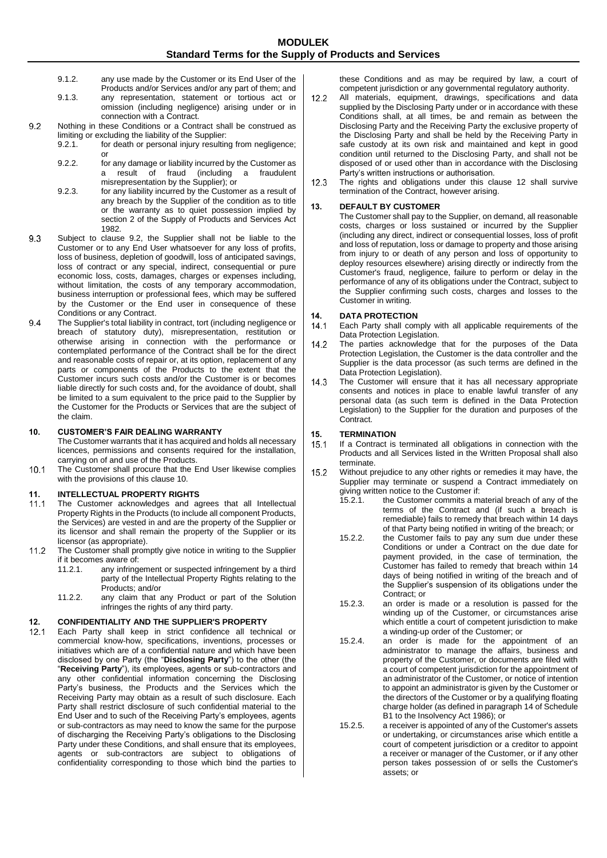- 9.1.2. any use made by the Customer or its End User of the Products and/or Services and/or any part of them; and
- 9.1.3. any representation, statement or tortious act or omission (including negligence) arising under or in connection with a Contract.
- $9.2$ Nothing in these Conditions or a Contract shall be construed as limiting or excluding the liability of the Supplier:<br>9.2.1. for death or personal injury resulting
	- for death or personal injury resulting from negligence; or
	- 9.2.2. for any damage or liability incurred by the Customer as a result of fraud (including a fraudulent misrepresentation by the Supplier); or
	- 9.2.3. for any liability incurred by the Customer as a result of any breach by the Supplier of the condition as to title or the warranty as to quiet possession implied by section 2 of the Supply of Products and Services Act 1982.
- 9.3 Subject to clause 9.2, the Supplier shall not be liable to the Customer or to any End User whatsoever for any loss of profits, loss of business, depletion of goodwill, loss of anticipated savings, loss of contract or any special, indirect, consequential or pure economic loss, costs, damages, charges or expenses including, without limitation, the costs of any temporary accommodation, business interruption or professional fees, which may be suffered by the Customer or the End user in consequence of these Conditions or any Contract.
- 9.4 The Supplier's total liability in contract, tort (including negligence or breach of statutory duty), misrepresentation, restitution or otherwise arising in connection with the performance or contemplated performance of the Contract shall be for the direct and reasonable costs of repair or, at its option, replacement of any parts or components of the Products to the extent that the Customer incurs such costs and/or the Customer is or becomes liable directly for such costs and, for the avoidance of doubt, shall be limited to a sum equivalent to the price paid to the Supplier by the Customer for the Products or Services that are the subject of the claim.

#### **10. CUSTOMER'S FAIR DEALING WARRANTY**

The Customer warrants that it has acquired and holds all necessary licences, permissions and consents required for the installation, carrying on of and use of the Products.

 $10.1$ The Customer shall procure that the End User likewise complies with the provisions of this clause 10.

## **11. INTELLECTUAL PROPERTY RIGHTS**

- The Customer acknowledges and agrees that all Intellectual Property Rights in the Products (to include all component Products, the Services) are vested in and are the property of the Supplier or its licensor and shall remain the property of the Supplier or its licensor (as appropriate).
- The Customer shall promptly give notice in writing to the Supplier  $11.2$ if it becomes aware of:<br>11.2.1 any infringent
	- any infringement or suspected infringement by a third party of the Intellectual Property Rights relating to the Products; and/or
	- 11.2.2. any claim that any Product or part of the Solution infringes the rights of any third party.

# **12. CONFIDENTIALITY AND THE SUPPLIER'S PROPERTY**

Each Party shall keep in strict confidence all technical or commercial know-how, specifications, inventions, processes or initiatives which are of a confidential nature and which have been disclosed by one Party (the "**Disclosing Party**") to the other (the "**Receiving Party**"), its employees, agents or sub-contractors and any other confidential information concerning the Disclosing Party's business, the Products and the Services which the Receiving Party may obtain as a result of such disclosure. Each Party shall restrict disclosure of such confidential material to the End User and to such of the Receiving Party's employees, agents or sub-contractors as may need to know the same for the purpose of discharging the Receiving Party's obligations to the Disclosing Party under these Conditions, and shall ensure that its employees, agents or sub-contractors are subject to obligations of confidentiality corresponding to those which bind the parties to

these Conditions and as may be required by law, a court of competent jurisdiction or any governmental regulatory authority.

- $12.2$ All materials, equipment, drawings, specifications and data supplied by the Disclosing Party under or in accordance with these Conditions shall, at all times, be and remain as between the Disclosing Party and the Receiving Party the exclusive property of the Disclosing Party and shall be held by the Receiving Party in safe custody at its own risk and maintained and kept in good condition until returned to the Disclosing Party, and shall not be disposed of or used other than in accordance with the Disclosing Party's written instructions or authorisation.
- $12.3$ The rights and obligations under this clause 12 shall survive termination of the Contract, however arising.

#### **13. DEFAULT BY CUSTOMER**

The Customer shall pay to the Supplier, on demand, all reasonable costs, charges or loss sustained or incurred by the Supplier (including any direct, indirect or consequential losses, loss of profit and loss of reputation, loss or damage to property and those arising from injury to or death of any person and loss of opportunity to deploy resources elsewhere) arising directly or indirectly from the Customer's fraud, negligence, failure to perform or delay in the performance of any of its obligations under the Contract, subject to the Supplier confirming such costs, charges and losses to the Customer in writing.

# **14. DATA PROTECTION**

- Each Party shall comply with all applicable requirements of the Data Protection Legislation.
- The parties acknowledge that for the purposes of the Data  $142$ Protection Legislation, the Customer is the data controller and the Supplier is the data processor (as such terms are defined in the Data Protection Legislation).
- $14.3$ The Customer will ensure that it has all necessary appropriate consents and notices in place to enable lawful transfer of any personal data (as such term is defined in the Data Protection Legislation) to the Supplier for the duration and purposes of the Contract.

#### **15. TERMINATION**

- If a Contract is terminated all obligations in connection with the Products and all Services listed in the Written Proposal shall also terminate.
- $15.2$ Without prejudice to any other rights or remedies it may have, the Supplier may terminate or suspend a Contract immediately on giving written notice to the Customer if:<br>15.2.1. the Customer commits a m
	- the Customer commits a material breach of any of the terms of the Contract and (if such a breach is remediable) fails to remedy that breach within 14 days of that Party being notified in writing of the breach; or
	- 15.2.2. the Customer fails to pay any sum due under these Conditions or under a Contract on the due date for payment provided, in the case of termination, the Customer has failed to remedy that breach within 14 days of being notified in writing of the breach and of the Supplier's suspension of its obligations under the Contract; or
	- 15.2.3. an order is made or a resolution is passed for the winding up of the Customer, or circumstances arise which entitle a court of competent jurisdiction to make a winding-up order of the Customer; or
	- 15.2.4. an order is made for the appointment of an administrator to manage the affairs, business and property of the Customer, or documents are filed with a court of competent jurisdiction for the appointment of an administrator of the Customer, or notice of intention to appoint an administrator is given by the Customer or the directors of the Customer or by a qualifying floating charge holder (as defined in paragraph 14 of Schedule B1 to the Insolvency Act 1986); or
	- 15.2.5. a receiver is appointed of any of the Customer's assets or undertaking, or circumstances arise which entitle a court of competent jurisdiction or a creditor to appoint a receiver or manager of the Customer, or if any other person takes possession of or sells the Customer's assets; or